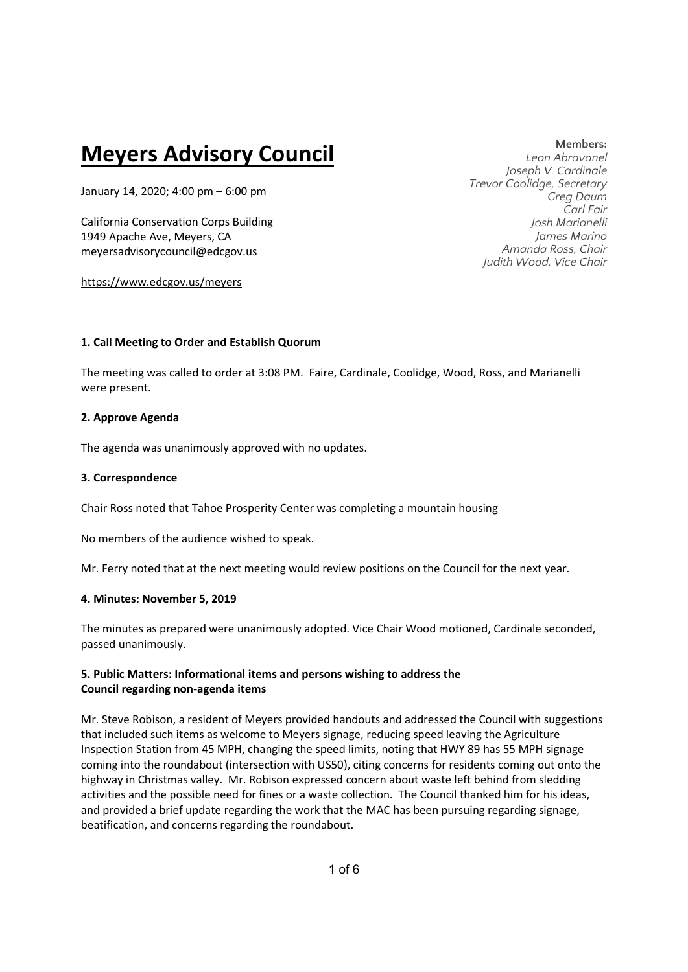# **Meyers Advisory Council**

January 14, 2020; 4:00 pm – 6:00 pm

California Conservation Corps Building 1949 Apache Ave, Meyers, CA meyersadvisorycouncil@edcgov.us

https://www.edcgov.us/meyers

**Members:**

*Leon Abravanel Joseph V. Cardinale Trevor Coolidge, Secretary Greg Daum Carl Fair Josh Marianelli James Marino Amanda Ross, Chair Judith Wood, Vice Chair* 

# **1. Call Meeting to Order and Establish Quorum**

The meeting was called to order at 3:08 PM. Faire, Cardinale, Coolidge, Wood, Ross, and Marianelli were present.

# **2. Approve Agenda**

The agenda was unanimously approved with no updates.

# **3. Correspondence**

Chair Ross noted that Tahoe Prosperity Center was completing a mountain housing

No members of the audience wished to speak.

Mr. Ferry noted that at the next meeting would review positions on the Council for the next year.

## **4. Minutes: November 5, 2019**

The minutes as prepared were unanimously adopted. Vice Chair Wood motioned, Cardinale seconded, passed unanimously.

# **5. Public Matters: Informational items and persons wishing to address the Council regarding non-agenda items**

Mr. Steve Robison, a resident of Meyers provided handouts and addressed the Council with suggestions that included such items as welcome to Meyers signage, reducing speed leaving the Agriculture Inspection Station from 45 MPH, changing the speed limits, noting that HWY 89 has 55 MPH signage coming into the roundabout (intersection with US50), citing concerns for residents coming out onto the highway in Christmas valley. Mr. Robison expressed concern about waste left behind from sledding activities and the possible need for fines or a waste collection. The Council thanked him for his ideas, and provided a brief update regarding the work that the MAC has been pursuing regarding signage, beatification, and concerns regarding the roundabout.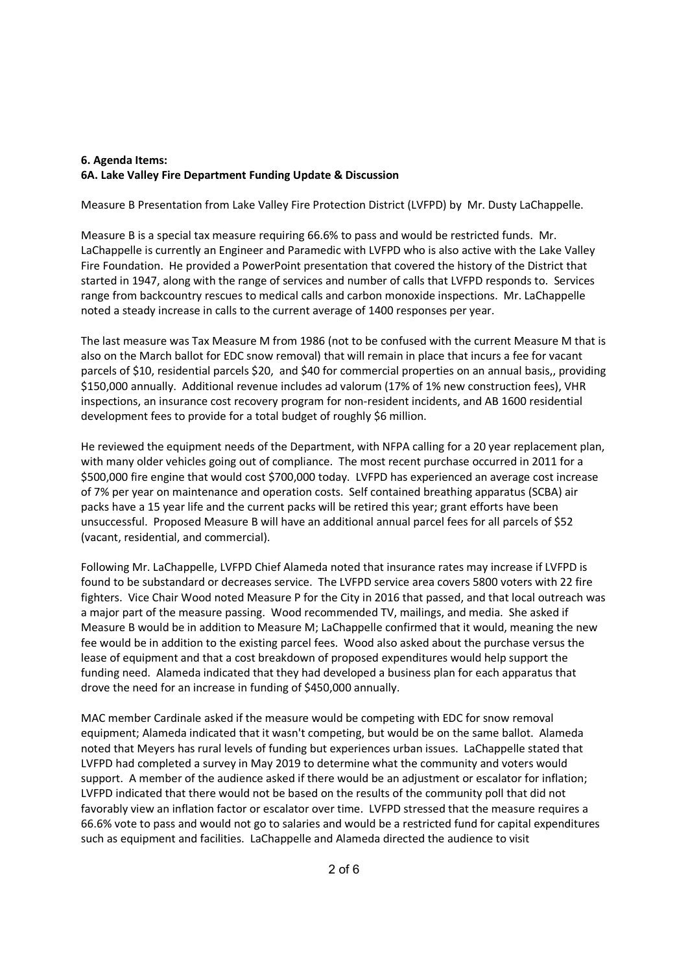# **6. Agenda Items: 6A. Lake Valley Fire Department Funding Update & Discussion**

Measure B Presentation from Lake Valley Fire Protection District (LVFPD) by Mr. Dusty LaChappelle.

Measure B is a special tax measure requiring 66.6% to pass and would be restricted funds. Mr. LaChappelle is currently an Engineer and Paramedic with LVFPD who is also active with the Lake Valley Fire Foundation. He provided a PowerPoint presentation that covered the history of the District that started in 1947, along with the range of services and number of calls that LVFPD responds to. Services range from backcountry rescues to medical calls and carbon monoxide inspections. Mr. LaChappelle noted a steady increase in calls to the current average of 1400 responses per year.

The last measure was Tax Measure M from 1986 (not to be confused with the current Measure M that is also on the March ballot for EDC snow removal) that will remain in place that incurs a fee for vacant parcels of \$10, residential parcels \$20, and \$40 for commercial properties on an annual basis,, providing \$150,000 annually. Additional revenue includes ad valorum (17% of 1% new construction fees), VHR inspections, an insurance cost recovery program for non-resident incidents, and AB 1600 residential development fees to provide for a total budget of roughly \$6 million.

He reviewed the equipment needs of the Department, with NFPA calling for a 20 year replacement plan, with many older vehicles going out of compliance. The most recent purchase occurred in 2011 for a \$500,000 fire engine that would cost \$700,000 today. LVFPD has experienced an average cost increase of 7% per year on maintenance and operation costs. Self contained breathing apparatus (SCBA) air packs have a 15 year life and the current packs will be retired this year; grant efforts have been unsuccessful. Proposed Measure B will have an additional annual parcel fees for all parcels of \$52 (vacant, residential, and commercial).

Following Mr. LaChappelle, LVFPD Chief Alameda noted that insurance rates may increase if LVFPD is found to be substandard or decreases service. The LVFPD service area covers 5800 voters with 22 fire fighters. Vice Chair Wood noted Measure P for the City in 2016 that passed, and that local outreach was a major part of the measure passing. Wood recommended TV, mailings, and media. She asked if Measure B would be in addition to Measure M; LaChappelle confirmed that it would, meaning the new fee would be in addition to the existing parcel fees. Wood also asked about the purchase versus the lease of equipment and that a cost breakdown of proposed expenditures would help support the funding need. Alameda indicated that they had developed a business plan for each apparatus that drove the need for an increase in funding of \$450,000 annually.

MAC member Cardinale asked if the measure would be competing with EDC for snow removal equipment; Alameda indicated that it wasn't competing, but would be on the same ballot. Alameda noted that Meyers has rural levels of funding but experiences urban issues. LaChappelle stated that LVFPD had completed a survey in May 2019 to determine what the community and voters would support. A member of the audience asked if there would be an adjustment or escalator for inflation; LVFPD indicated that there would not be based on the results of the community poll that did not favorably view an inflation factor or escalator over time. LVFPD stressed that the measure requires a 66.6% vote to pass and would not go to salaries and would be a restricted fund for capital expenditures such as equipment and facilities. LaChappelle and Alameda directed the audience to visit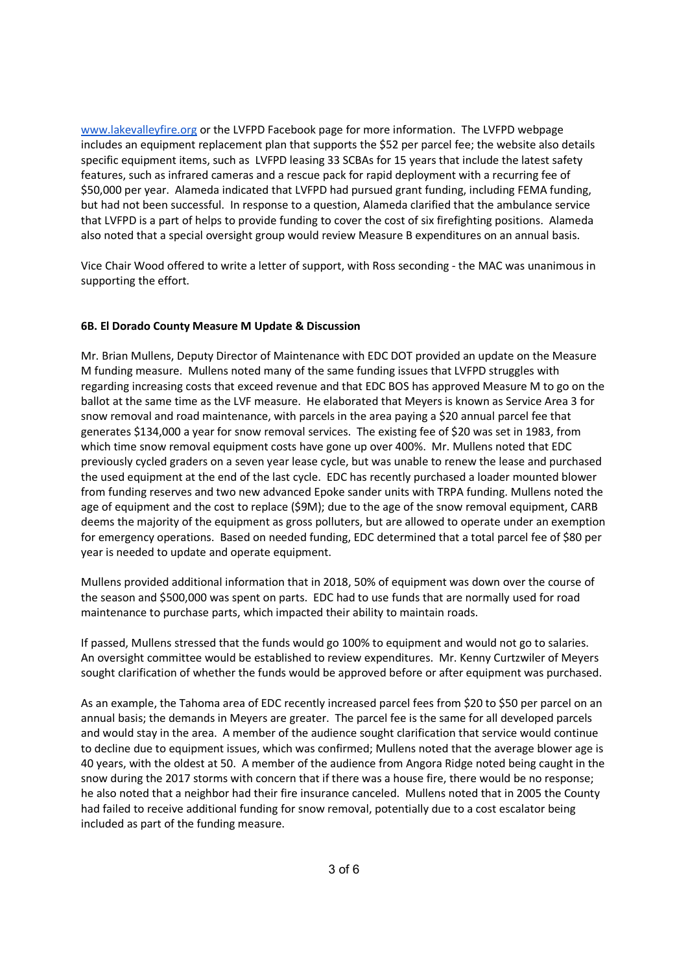www.lakevalleyfire.org or the LVFPD Facebook page for more information. The LVFPD webpage [includes an equipment re](http://www.lakevalleyfire.org/)placement plan that supports the \$52 per parcel fee; the website also details specific equipment items, such as LVFPD leasing 33 SCBAs for 15 years that include the latest safety features, such as infrared cameras and a rescue pack for rapid deployment with a recurring fee of \$50,000 per year. Alameda indicated that LVFPD had pursued grant funding, including FEMA funding, but had not been successful. In response to a question, Alameda clarified that the ambulance service that LVFPD is a part of helps to provide funding to cover the cost of six firefighting positions. Alameda also noted that a special oversight group would review Measure B expenditures on an annual basis.

Vice Chair Wood offered to write a letter of support, with Ross seconding - the MAC was unanimous in supporting the effort.

#### **6B. El Dorado County Measure M Update & Discussion**

Mr. Brian Mullens, Deputy Director of Maintenance with EDC DOT provided an update on the Measure M funding measure. Mullens noted many of the same funding issues that LVFPD struggles with regarding increasing costs that exceed revenue and that EDC BOS has approved Measure M to go on the ballot at the same time as the LVF measure. He elaborated that Meyers is known as Service Area 3 for snow removal and road maintenance, with parcels in the area paying a \$20 annual parcel fee that generates \$134,000 a year for snow removal services. The existing fee of \$20 was set in 1983, from which time snow removal equipment costs have gone up over 400%. Mr. Mullens noted that EDC previously cycled graders on a seven year lease cycle, but was unable to renew the lease and purchased the used equipment at the end of the last cycle. EDC has recently purchased a loader mounted blower from funding reserves and two new advanced Epoke sander units with TRPA funding. Mullens noted the age of equipment and the cost to replace (\$9M); due to the age of the snow removal equipment, CARB deems the majority of the equipment as gross polluters, but are allowed to operate under an exemption for emergency operations. Based on needed funding, EDC determined that a total parcel fee of \$80 per year is needed to update and operate equipment.

Mullens provided additional information that in 2018, 50% of equipment was down over the course of the season and \$500,000 was spent on parts. EDC had to use funds that are normally used for road maintenance to purchase parts, which impacted their ability to maintain roads.

If passed, Mullens stressed that the funds would go 100% to equipment and would not go to salaries. An oversight committee would be established to review expenditures. Mr. Kenny Curtzwiler of Meyers sought clarification of whether the funds would be approved before or after equipment was purchased.

As an example, the Tahoma area of EDC recently increased parcel fees from \$20 to \$50 per parcel on an annual basis; the demands in Meyers are greater. The parcel fee is the same for all developed parcels and would stay in the area. A member of the audience sought clarification that service would continue to decline due to equipment issues, which was confirmed; Mullens noted that the average blower age is 40 years, with the oldest at 50. A member of the audience from Angora Ridge noted being caught in the snow during the 2017 storms with concern that if there was a house fire, there would be no response; he also noted that a neighbor had their fire insurance canceled. Mullens noted that in 2005 the County had failed to receive additional funding for snow removal, potentially due to a cost escalator being included as part of the funding measure.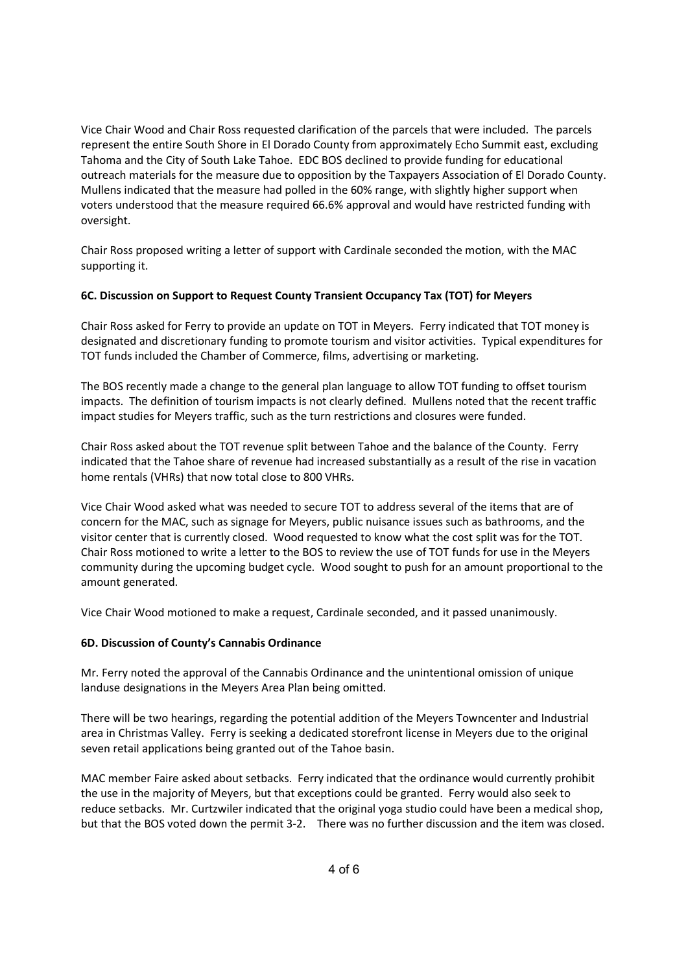Vice Chair Wood and Chair Ross requested clarification of the parcels that were included. The parcels represent the entire South Shore in El Dorado County from approximately Echo Summit east, excluding Tahoma and the City of South Lake Tahoe. EDC BOS declined to provide funding for educational outreach materials for the measure due to opposition by the Taxpayers Association of El Dorado County. Mullens indicated that the measure had polled in the 60% range, with slightly higher support when voters understood that the measure required 66.6% approval and would have restricted funding with oversight.

Chair Ross proposed writing a letter of support with Cardinale seconded the motion, with the MAC supporting it.

# **6C. Discussion on Support to Request County Transient Occupancy Tax (TOT) for Meyers**

Chair Ross asked for Ferry to provide an update on TOT in Meyers. Ferry indicated that TOT money is designated and discretionary funding to promote tourism and visitor activities. Typical expenditures for TOT funds included the Chamber of Commerce, films, advertising or marketing.

The BOS recently made a change to the general plan language to allow TOT funding to offset tourism impacts. The definition of tourism impacts is not clearly defined. Mullens noted that the recent traffic impact studies for Meyers traffic, such as the turn restrictions and closures were funded.

Chair Ross asked about the TOT revenue split between Tahoe and the balance of the County. Ferry indicated that the Tahoe share of revenue had increased substantially as a result of the rise in vacation home rentals (VHRs) that now total close to 800 VHRs.

Vice Chair Wood asked what was needed to secure TOT to address several of the items that are of concern for the MAC, such as signage for Meyers, public nuisance issues such as bathrooms, and the visitor center that is currently closed. Wood requested to know what the cost split was for the TOT. Chair Ross motioned to write a letter to the BOS to review the use of TOT funds for use in the Meyers community during the upcoming budget cycle. Wood sought to push for an amount proportional to the amount generated.

Vice Chair Wood motioned to make a request, Cardinale seconded, and it passed unanimously.

## **6D. Discussion of County's Cannabis Ordinance**

Mr. Ferry noted the approval of the Cannabis Ordinance and the unintentional omission of unique landuse designations in the Meyers Area Plan being omitted.

There will be two hearings, regarding the potential addition of the Meyers Towncenter and Industrial area in Christmas Valley. Ferry is seeking a dedicated storefront license in Meyers due to the original seven retail applications being granted out of the Tahoe basin.

MAC member Faire asked about setbacks. Ferry indicated that the ordinance would currently prohibit the use in the majority of Meyers, but that exceptions could be granted. Ferry would also seek to reduce setbacks. Mr. Curtzwiler indicated that the original yoga studio could have been a medical shop, but that the BOS voted down the permit 3-2. There was no further discussion and the item was closed.